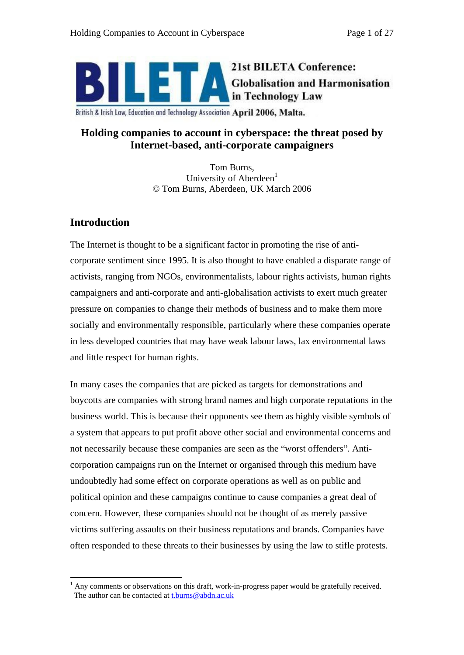**21st BILETA Conference: Globalisation and Harmonisation** in Technology Law

British & Irish Law, Education and Technology Association April 2006, Malta.

# **Holding companies to account in cyberspace: the threat posed by Internet-based, anti-corporate campaigners**

Tom Burns, University of Aberdeen<sup>1</sup> © Tom Burns, Aberdeen, UK March 2006

# **Introduction**

The Internet is thought to be a significant factor in promoting the rise of anti corporate sentiment since 1995. It is also thought to have enabled a disparate range of activists, ranging from NGOs, environmentalists, labour rights activists, human rights campaigners and anti-corporate and anti-globalisation activists to exert much greater pressure on companies to change their methods of business and to make them more socially and environmentally responsible, particularly where these companies operate in less developed countries that may have weak labour laws, lax environmental laws and little respect for human rights.

In many cases the companies that are picked as targets for demonstrations and boycotts are companies with strong brand names and high corporate reputations in the business world. This is because their opponents see them as highly visible symbols of a system that appears to put profit above other social and environmental concerns and not necessarily because these companies are seen as the "worst offenders". Anticorporation campaigns run on the Internet or organised through this medium have undoubtedly had some effect on corporate operations as well as on public and political opinion and these campaigns continue to cause companies a great deal of concern. However, these companies should not be thought of as merely passive victims suffering assaults on their business reputations and brands. Companies have often responded to these threats to their businesses by using the law to stifle protests.

<sup>&</sup>lt;sup>1</sup> Any comments or observations on this draft, work-in-progress paper would be gratefully received. The author can be contacted at t.burns@abdn.ac.uk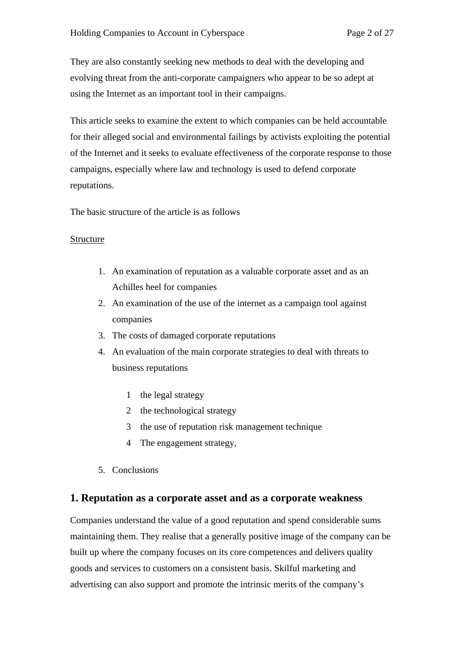They are also constantly seeking new methods to deal with the developing and evolving threat from the anti-corporate campaigners who appear to be so adept at using the Internet as an important tool in their campaigns.

This article seeks to examine the extent to which companies can be held accountable for their alleged social and environmental failings by activists exploiting the potential of the Internet and it seeks to evaluate effectiveness of the corporate response to those campaigns, especially where law and technology is used to defend corporate reputations.

The basic structure of the article is as follows

### **Structure** and the structure of the structure of the structure of the structure of the structure of the structure of the structure of the structure of the structure of the structure of the structure of the structure of th

- 1. An examination of reputation as a valuable corporate asset and as an Achilles heel for companies
- 2. An examination of the use of the internet as a campaign tool against companies
- 3. The costs of damaged corporate reputations
- 4. An evaluation of the main corporate strategies to deal with threats to business reputations
	- 1 the legal strategy
	- 2 the technological strategy
	- 3 the use of reputation risk management technique
	- 4 The engagement strategy,
- 5. Conclusions

# **1. Reputation as a corporate asset and as a corporate weakness**

Companies understand the value of a good reputation and spend considerable sums maintaining them. They realise that a generally positive image of the company can be built up where the company focuses on its core competences and delivers quality goods and services to customers on a consistent basis. Skilful marketing and advertising can also support and promote the intrinsic merits of the company s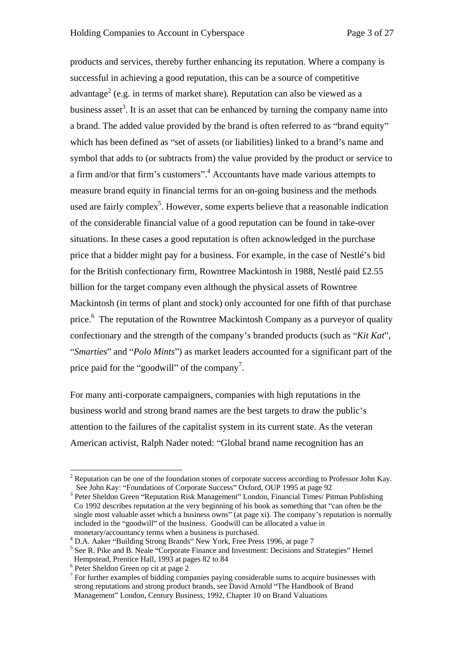products and services, thereby further enhancing its reputation. Where a company is successful in achieving a good reputation, this can be a source of competitive advantage<sup>2</sup> (e.g. in terms of market share). Reputation can also be viewed as a business asset<sup>3</sup>. It is an asset that can be enhanced by turning the company name into a brand. The added value provided by the brand is often referred to as "brand equity" which has been defined as "set of assets (or liabilities) linked to a brand's name and symbol that adds to (or subtracts from) the value provided by the product or service to a firm and/or that firm's customers".<sup>4</sup> Accountants have made various attempts to measure brand equity in financial terms for an on-going business and the methods used are fairly complex<sup>5</sup>. However, some experts believe that a reasonable indication of the considerable financial value of a good reputation can be found in take-over situations. In these cases a good reputation is often acknowledged in the purchase price that a bidder might pay for a business. For example, in the case of Nestlé's bid for the British confectionary firm, Rowntree Mackintosh in 1988, Nestlé paid £2.55 billion for the target company even although the physical assets of Rowntree Mackintosh (in terms of plant and stock) only accounted for one fifth of that purchase price.<sup>6</sup> The reputation of the Rowntree Mackintosh Company as a purveyor of quality confectionary and the strength of the company's branded products (such as "*Kit Kat*", "*Smarties*" and "*Polo Mints*") as market leaders accounted for a significant part of the price paid for the "goodwill" of the company<sup>7</sup>.  $7$ . A construction of the construction of the construction of the construction of the construction of the construction of the construction of the construction of the construction of the construction of the construction of th

For many anti-corporate campaigners, companies with high reputations in the business world and strong brand names are the best targets to draw the public's attention to the failures of the capitalist system in its current state. As the veteran American activist, Ralph Nader noted: "Global brand name recognition has an

<sup>&</sup>lt;sup>2</sup> Reputation can be one of the foundation stones of corporate success according to Professor John Kay. See John Kay: "Foundations of Corporate Success" Oxford, OUP 1995 at page 92

<sup>&</sup>lt;sup>3</sup> Peter Sheldon Green "Reputation Risk Management" London, Financial Times/ Pitman Publishing Co 1992 describes reputation at the very beginning of his book as something that "can often be the single most valuable asset which a business owns" (at page xi). The company's reputation is normally included in the "goodwill" of the business. Goodwill can be allocated a value in

monetary/accountancy terms when a business is purchased.  $4$  D.A. Aaker "Building Strong Brands" New York, Free Press 1996, at page 7

<sup>&</sup>lt;sup>5</sup> See R. Pike and B. Neale "Corporate Finance and Investment: Decisions and Strategies" Hemel Hempstead, Prentice Hall, 1993 at pages 82 to 84

<sup>6</sup> Peter Sheldon Green op cit at page 2

 $<sup>7</sup>$  For further examples of bidding companies paying considerable sums to acquire businesses with</sup> strong reputations and strong product brands, see David Arnold "The Handbook of Brand Management" London, Century Business, 1992, Chapter 10 on Brand Valuations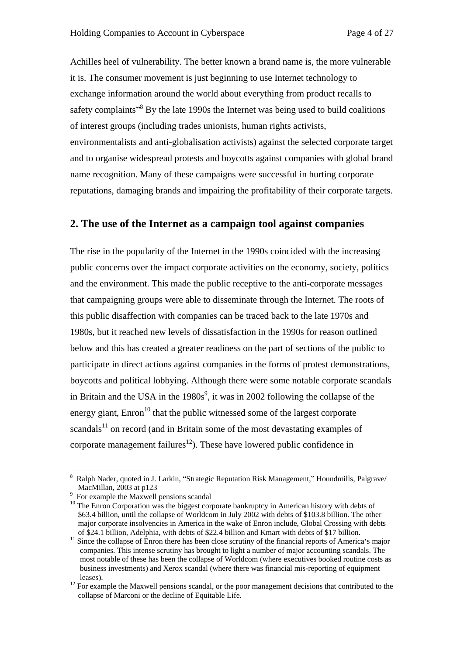Achilles heel of vulnerability. The better known a brand name is, the more vulnerable it is. The consumer movement is just beginning to use Internet technology to exchange information around the world about everything from product recalls to safety complaints<sup>38</sup> By the late 1990s the Internet was being used to build coalitions of interest groups (including trades unionists, human rights activists, environmentalists and anti-globalisation activists) against the selected corporate target and to organise widespread protests and boycotts against companies with global brand name recognition. Many of these campaigns were successful in hurting corporate reputations, damaging brands and impairing the profitability of their corporate targets.

### **2. The use of the Internet as a campaign tool against companies**

The rise in the popularity of the Internet in the 1990s coincided with the increasing public concerns over the impact corporate activities on the economy, society, politics and the environment. This made the public receptive to the anti-corporate messages that campaigning groups were able to disseminate through the Internet. The roots of this public disaffection with companies can be traced back to the late 1970s and 1980s, but it reached new levels of dissatisfaction in the 1990s for reason outlined below and this has created a greater readiness on the part of sections of the public to participate in direct actions against companies in the forms of protest demonstrations, boycotts and political lobbying. Although there were some notable corporate scandals in Britain and the USA in the  $1980s^9$ , it was in 2002 following the collapse of the energy giant,  $Enron<sup>10</sup>$  that the public witnessed some of the largest corporate scandals<sup>11</sup> on record (and in Britain some of the most devastating examples of corporate management failures<sup>12</sup>). These have lowered public confidence in

 $8$  Ralph Nader, quoted in J. Larkin, "Strategic Reputation Risk Management," Houndmills, Palgrave/ MacMillan, 2003 at p123

<sup>&</sup>lt;sup>9</sup> For example the Maxwell pensions scandal<br><sup>10</sup> The Enron Corporation was the biggest corporate bankruptcy in American history with debts of \$63.4 billion, until the collapse of Worldcom in July 2002 with debts of \$103.8 billion. The other major corporate insolvencies in America in the wake of Enron include, Global Crossing with debts

of \$24.1 billion, Adelphia, with debts of \$22.4 billion and Kmart with debts of \$17 billion.<br><sup>11</sup> Since the collapse of Enron there has been close scrutiny of the financial reports of America's major companies. This intense scrutiny has brought to light a number of major accounting scandals. The most notable of these has been the collapse of Worldcom (where executives booked routine costs as business investments) and Xerox scandal (where there was financial mis-reporting of equipment leases). 12 For example the Maxwell pensions scandal, or the poor management decisions that contributed to the

collapse of Marconi or the decline of Equitable Life.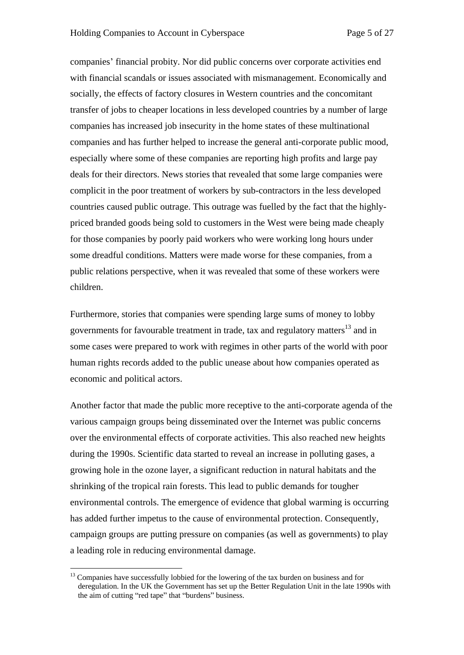companies' financial probity. Nor did public concerns over corporate activities end with financial scandals or issues associated with mismanagement. Economically and socially, the effects of factory closures in Western countries and the concomitant transfer of jobs to cheaper locations in less developed countries by a number of large companies has increased job insecurity in the home states of these multinational companies and has further helped to increase the general anti-corporate public mood, especially where some of these companies are reporting high profits and large pay deals for their directors. News stories that revealed that some large companies were complicit in the poor treatment of workers by sub-contractors in the less developed countries caused public outrage. This outrage was fuelled by the fact that the highly priced branded goods being sold to customers in the West were being made cheaply for those companies by poorly paid workers who were working long hours under some dreadful conditions. Matters were made worse for these companies, from a public relations perspective, when it was revealed that some of these workers were children. **Executive Service Service Service Service Service Service Service Service Service Service Service Service Service Service Service Service Service Service Service Service Service Service Service Service Service S** 

Furthermore, stories that companies were spending large sums of money to lobby governments for favourable treatment in trade, tax and regulatory matters $^{13}$  and in some cases were prepared to work with regimes in other parts of the world with poor human rights records added to the public unease about how companies operated as economic and political actors.

Another factor that made the public more receptive to the anti-corporate agenda of the various campaign groups being disseminated over the Internet was public concerns over the environmental effects of corporate activities. This also reached new heights during the 1990s. Scientific data started to reveal an increase in polluting gases, a growing hole in the ozone layer, a significant reduction in natural habitats and the shrinking of the tropical rain forests. This lead to public demands for tougher environmental controls. The emergence of evidence that global warming is occurring has added further impetus to the cause of environmental protection. Consequently, campaign groups are putting pressure on companies (as well as governments) to play a leading role in reducing environmental damage.

<sup>&</sup>lt;sup>13</sup> Companies have successfully lobbied for the lowering of the tax burden on business and for deregulation. In the UK the Government has set up the Better Regulation Unit in the late 1990s with the aim of cutting "red tape" that "burdens" business.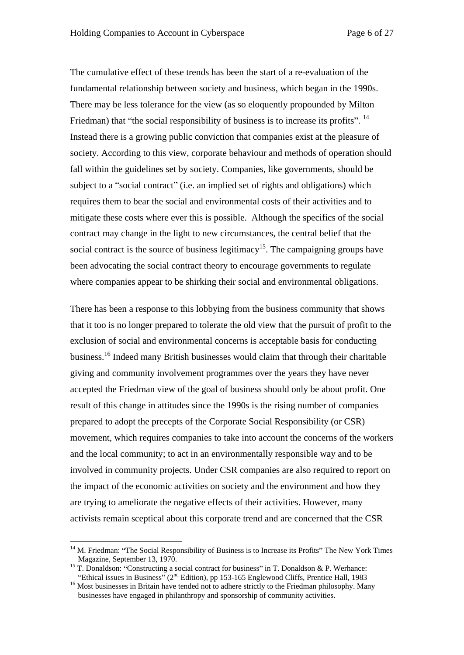The cumulative effect of these trends has been the start of a re-evaluation of the fundamental relationship between society and business, which began in the 1990s. There may be less tolerance for the view (as so eloquently propounded by Milton Friedman) that "the social responsibility of business is to increase its profits".  $14$ Instead there is a growing public conviction that companies exist at the pleasure of society. According to this view, corporate behaviour and methods of operation should fall within the guidelines set by society. Companies, like governments, should be subject to a "social contract" (i.e. an implied set of rights and obligations) which requires them to bear the social and environmental costs of their activities and to mitigate these costs where ever this is possible. Although the specifics of the social contract may change in the light to new circumstances, the central belief that the social contract is the source of business legitimacy<sup>15</sup>. The campaigning groups have been advocating the social contract theory to encourage governments to regulate where companies appear to be shirking their social and environmental obligations.

There has been a response to this lobbying from the business community that shows that it too is no longer prepared to tolerate the old view that the pursuit of profit to the exclusion of social and environmental concerns is acceptable basis for conducting business.16 Indeed many British businesses would claim that through their charitable giving and community involvement programmes over the years they have never accepted the Friedman view of the goal of business should only be about profit. One result of this change in attitudes since the 1990s is the rising number of companies prepared to adopt the precepts of the Corporate Social Responsibility (or CSR) movement, which requires companies to take into account the concerns of the workers and the local community; to act in an environmentally responsible way and to be involved in community projects. Under CSR companies are also required to report on the impact of the economic activities on society and the environment and how they are trying to ameliorate the negative effects of their activities. However, many activists remain sceptical about this corporate trend and are concerned that the CSR

<sup>&</sup>lt;sup>14</sup> M. Friedman: "The Social Responsibility of Business is to Increase its Profits" The New York Times Magazine, September 13, 1970.

<sup>&</sup>lt;sup>15</sup> T. Donaldson: "Constructing a social contract for business" in T. Donaldson & P. Werhance: "Ethical issues in Business"  $(2<sup>nd</sup> Edition)$ , pp 153-165 Englewood Cliffs, Prentice Hall, 1983

 $16$  Most businesses in Britain have tended not to adhere strictly to the Friedman philosophy. Many businesses have engaged in philanthropy and sponsorship of community activities.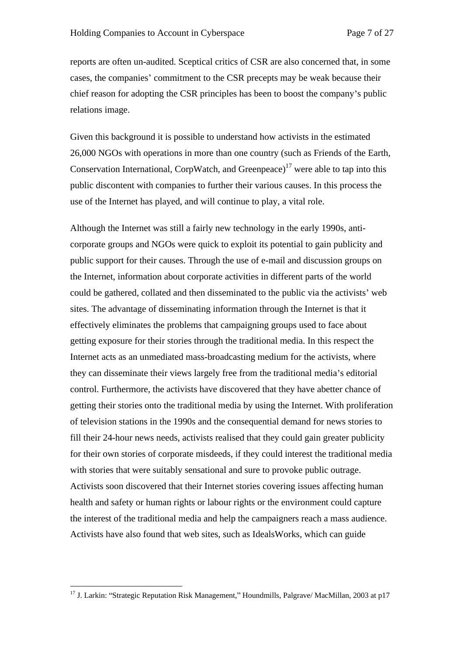reports are often un-audited. Sceptical critics of CSR are also concerned that, in some cases, the companies' commitment to the CSR precepts may be weak because their chief reason for adopting the CSR principles has been to boost the company's public relations image.

Given this background it is possible to understand how activists in the estimated 26,000 NGOs with operations in more than one country (such as Friends of the Earth, Conservation International, CorpWatch, and Greenpeace)<sup>17</sup> were able to tap into this public discontent with companies to further their various causes. In this process the use of the Internet has played, and will continue to play, a vital role.

Although the Internet was still a fairly new technology in the early 1990s, anti corporate groups and NGOs were quick to exploit its potential to gain publicity and public support for their causes. Through the use of e-mail and discussion groups on the Internet, information about corporate activities in different parts of the world could be gathered, collated and then disseminated to the public via the activists' web sites. The advantage of disseminating information through the Internet is that it effectively eliminates the problems that campaigning groups used to face about getting exposure for their stories through the traditional media. In this respect the Internet acts as an unmediated mass-broadcasting medium for the activists, where they can disseminate their views largely free from the traditional media's editorial control. Furthermore, the activists have discovered that they have abetter chance of getting their stories onto the traditional media by using the Internet. With proliferation of television stations in the 1990s and the consequential demand for news stories to fill their 24-hour news needs, activists realised that they could gain greater publicity for their own stories of corporate misdeeds, if they could interest the traditional media with stories that were suitably sensational and sure to provoke public outrage. Activists soon discovered that their Internet stories covering issues affecting human health and safety or human rights or labour rights or the environment could capture the interest of the traditional media and help the campaigners reach a mass audience. Activists have also found that web sites, such as IdealsWorks, which can guide

<sup>&</sup>lt;sup>17</sup> J. Larkin: "Strategic Reputation Risk Management," Houndmills, Palgrave/ MacMillan, 2003 at p17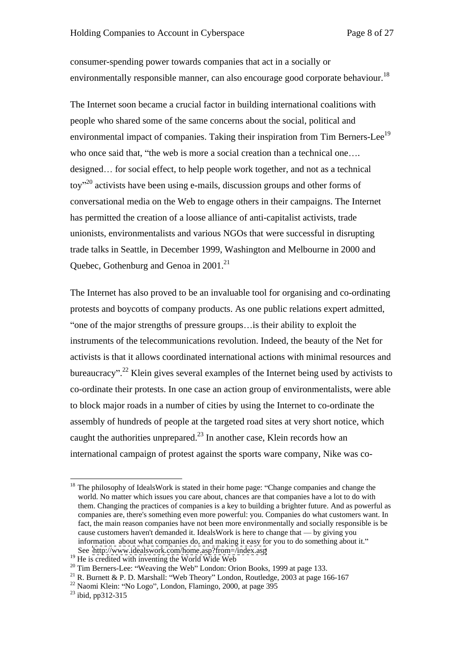consumer-spending power towards companies that act in a socially or environmentally responsible manner, can also encourage good corporate behaviour.<sup>18</sup>

The Internet soon became a crucial factor in building international coalitions with people who shared some of the same concerns about the social, political and environmental impact of companies. Taking their inspiration from Tim Berners-Lee<sup>19</sup> who once said that, "the web is more a social creation than a technical one.... designed... for social effect, to help people work together, and not as a technical toy"<sup>20</sup> activists have been using e-mails, discussion groups and other forms of conversational media on the Web to engage others in their campaigns. The Internet has permitted the creation of a loose alliance of anti-capitalist activists, trade unionists, environmentalists and various NGOs that were successful in disrupting trade talks in Seattle, in December 1999, Washington and Melbourne in 2000 and Quebec, Gothenburg and Genoa in  $2001$ <sup>21</sup>

The Internet has also proved to be an invaluable tool for organising and co-ordinating protests and boycotts of company products. As one public relations expert admitted, "one of the major strengths of pressure groups... is their ability to exploit the instruments of the telecommunications revolution. Indeed, the beauty of the Net for activists is that it allows coordinated international actions with minimal resources and bureaucracy".<sup>22</sup> Klein gives several examples of the Internet being used by activists to co-ordinate their protests. In one case an action group of environmentalists, were able to block major roads in a number of cities by using the Internet to co-ordinate the assembly of hundreds of people at the targeted road sites at very short notice, which caught the authorities unprepared.<sup>23</sup> In another case, Klein records how an international campaign of protest against the sports ware company, Nike was co-

<sup>&</sup>lt;sup>18</sup> The philosophy of IdealsWork is stated in their home page: "Change companies and change the world. No matter which issues you care about, chances are that companies have a lot to do with them. Changing the practices of companies is a key to building a brighter future. And as powerful as companies are, there's something even more powerful: you. Companies do what customers want. In fact, the main reason companies have not been more environmentally and socially responsible is be cause customers haven't demanded it. Ideals Work is here to change that — by giving you information about what companies do, and making it easy for you to do something about it. See <http://www.idealswork.com/home.asp?from=/index.asp>

<sup>&</sup>lt;sup>19</sup> He is credited with inventing the World Wide Web<br><sup>20</sup> Tim Berners-Lee: "Weaving the Web" London: Orion Books, 1999 at page 133.

<sup>&</sup>lt;sup>21</sup> R. Burnett & P. D. Marshall: "Web Theory" London, Routledge, 2003 at page 166-167

 $22$  Naomi Klein: "No Logo", London, Flamingo, 2000, at page 395

<sup>&</sup>lt;sup>23</sup> ibid, pp312-315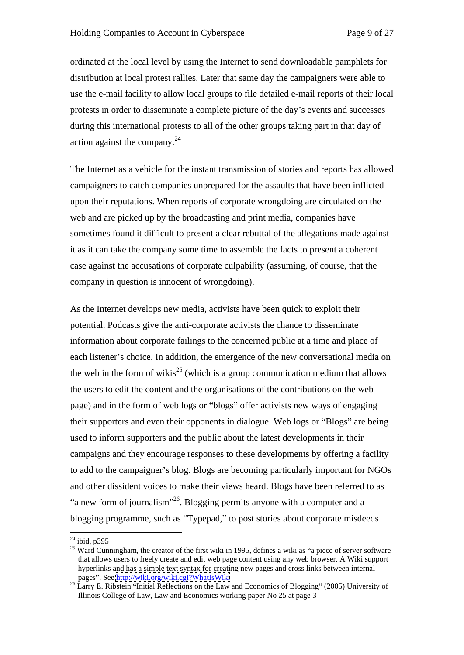ordinated at the local level by using the Internet to send downloadable pamphlets for distribution at local protest rallies. Later that same day the campaigners were able to use the e-mail facility to allow local groups to file detailed e-mail reports of their local protests in order to disseminate a complete picture of the day s events and successes during this international protests to all of the other groups taking part in that day of action against the company.<sup>24</sup>

The Internet as a vehicle for the instant transmission of stories and reports has allowed campaigners to catch companies unprepared for the assaults that have been inflicted upon their reputations. When reports of corporate wrongdoing are circulated on the web and are picked up by the broadcasting and print media, companies have sometimes found it difficult to present a clear rebuttal of the allegations made against it as it can take the company some time to assemble the facts to present a coherent case against the accusations of corporate culpability (assuming, of course, that the company in question is innocent of wrongdoing).

As the Internet develops new media, activists have been quick to exploit their potential. Podcasts give the anti-corporate activists the chance to disseminate information about corporate failings to the concerned public at a time and place of each listener's choice. In addition, the emergence of the new conversational media on the web in the form of wikis<sup>25</sup> (which is a group communication medium that allows the users to edit the content and the organisations of the contributions on the web page) and in the form of web logs or "blogs" offer activists new ways of engaging their supporters and even their opponents in dialogue. Web logs or "Blogs" are being used to inform supporters and the public about the latest developments in their campaigns and they encourage responses to these developments by offering a facility to add to the campaigner's blog. Blogs are becoming particularly important for NGOs and other dissident voices to make their views heard. Blogs have been referred to as a new form of journalism"<sup>26</sup>. Blogging permits anyone with a computer and a blogging programme, such as "Typepad," to post stories about corporate misdeeds

 $^{24}$  ibid, p395

<sup>&</sup>lt;sup>25</sup> Ward Cunningham, the creator of the first wiki in 1995, defines a wiki as "a piece of server software that allows users to freely create and edit web page content using any web browser. A Wiki support hyperlinks and has a simple text syntax for creating new pages and cross links between internal pages". See http://wiki.org/wiki.cgi?WhatIsWiki

<sup>&</sup>lt;sup>26</sup> Larry E. Ribstein "Initial Reflections on the Law and Economics of Blogging" (2005) University of Illinois College of Law, Law and Economics working paper No 25 at page 3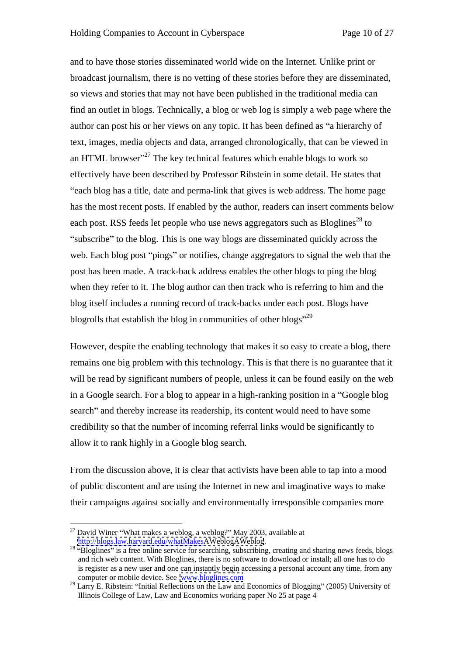and to have those stories disseminated world wide on the Internet. Unlike print or broadcast journalism, there is no vetting of these stories before they are disseminated, so views and stories that may not have been published in the traditional media can find an outlet in blogs. Technically, a blog or web log is simply a web page where the author can post his or her views on any topic. It has been defined as "a hierarchy of text, images, media objects and data, arranged chronologically, that can be viewed in an HTML browser<sup> $27$ </sup> The key technical features which enable blogs to work so effectively have been described by Professor Ribstein in some detail. He states that each blog has a title, date and perma-link that gives is web address. The home page has the most recent posts. If enabled by the author, readers can insert comments below each post. RSS feeds let people who use news aggregators such as Bloglines<sup>28</sup> to "subscribe" to the blog. This is one way blogs are disseminated quickly across the web. Each blog post "pings" or notifies, change aggregators to signal the web that the post has been made. A track-back address enables the other blogs to ping the blog when they refer to it. The blog author can then track who is referring to him and the blog itself includes a running record of track-backs under each post. Blogs have blogrolls that establish the blog in communities of other blogs"<sup>29</sup>

However, despite the enabling technology that makes it so easy to create a blog, there remains one big problem with this technology. This is that there is no guarantee that it will be read by significant numbers of people, unless it can be found easily on the web in a Google search. For a blog to appear in a high-ranking position in a "Google blog" search" and thereby increase its readership, its content would need to have some credibility so that the number of incoming referral links would be significantly to allow it to rank highly in a Google blog search. From the discussion above, it is clear that activists have been able to tap into a mood

of public discontent and are using the Internet in new and imaginative ways to make their campaigns against socially and environmentally irresponsible companies more

<sup>&</sup>lt;sup>27</sup> David Winer "What makes a weblog, a weblog?" May 2003, available at http://blogs.law.harvard.edu/whatMakesAWeblogAWeblog.

<sup>&</sup>lt;sup>28</sup> "Bloglines" is a free online service for searching, subscribing, creating and sharing news feeds, blogs and rich web content. With Bloglines, there is no software to download or install; all one has to do is register as a new user and one can instantly begin accessing a personal account any time, from any computer or mobile device. See [www.bloglines.com](http://www.bloglines.com)

<sup>&</sup>lt;sup>29</sup> Larry E. Ribstein: "Initial Reflections on the Law and Economics of Blogging" (2005) University of Illinois College of Law, Law and Economics working paper No 25 at page 4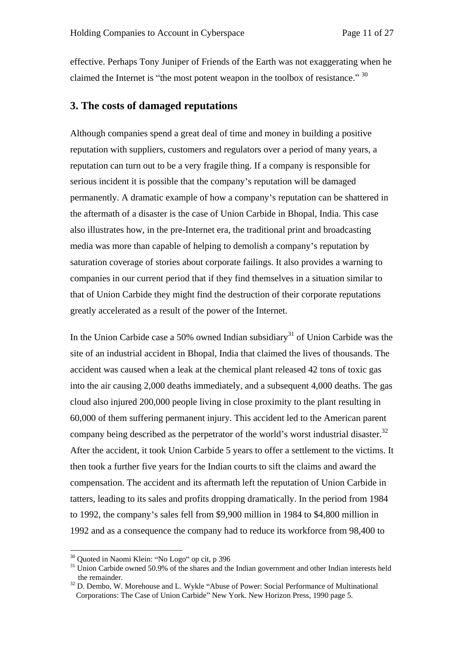effective. Perhaps Tony Juniper of Friends of the Earth was not exaggerating when he claimed the Internet is "the most potent weapon in the toolbox of resistance."  $30$ 

### **3. The costs of damaged reputations**

Although companies spend a great deal of time and money in building a positive reputation with suppliers, customers and regulators over a period of many years, a reputation can turn out to be a very fragile thing. If a company is responsible for serious incident it is possible that the company's reputation will be damaged permanently. A dramatic example of how a company's reputation can be shattered in the aftermath of a disaster is the case of Union Carbide in Bhopal, India. This case also illustrates how, in the pre-Internet era, the traditional print and broadcasting media was more than capable of helping to demolish a company's reputation by saturation coverage of stories about corporate failings. It also provides a warning to companies in our current period that if they find themselves in a situation similar to that of Union Carbide they might find the destruction of their corporate reputations greatly accelerated as a result of the power of the Internet.

In the Union Carbide case a 50% owned Indian subsidiary<sup>31</sup> of Union Carbide was the site of an industrial accident in Bhopal, India that claimed the lives of thousands. The accident was caused when a leak at the chemical plant released 42 tons of toxic gas into the air causing 2,000 deaths immediately, and a subsequent 4,000 deaths. The gas cloud also injured 200,000 people living in close proximity to the plant resulting in 60,000 of them suffering permanent injury. This accident led to the American parent company being described as the perpetrator of the world's worst industrial disaster.<sup>32</sup> After the accident, it took Union Carbide 5 years to offer a settlement to the victims. It then took a further five years for the Indian courts to sift the claims and award the compensation. The accident and its aftermath left the reputation of Union Carbide in tatters, leading to its sales and profits dropping dramatically. In the period from 1984 to 1992, the company's sales fell from \$9,900 million in 1984 to \$4,800 million in 1992 and as a consequence the company had to reduce its workforce from 98,400 to

 $30$  Quoted in Naomi Klein: "No Logo" op cit, p 396

<sup>&</sup>lt;sup>31</sup> Union Carbide owned 50.9% of the shares and the Indian government and other Indian interests held the remainder.<br><sup>32</sup> D. Dembo, W. Morehouse and L. Wykle "Abuse of Power: Social Performance of Multinational

Corporations: The Case of Union Carbide" New York. New Horizon Press, 1990 page 5.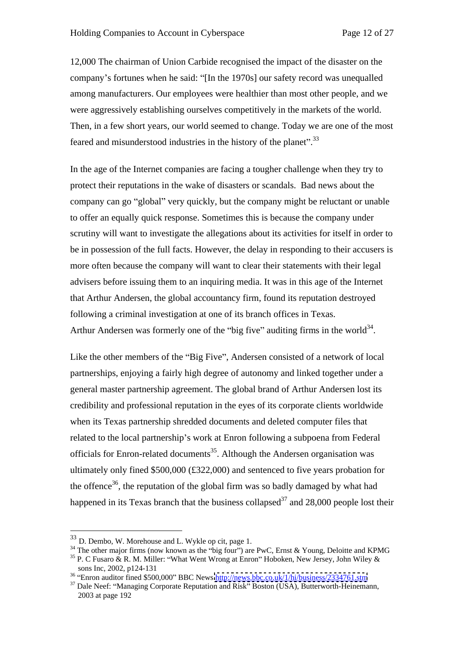12,000 The chairman of Union Carbide recognised the impact of the disaster on the company's fortunes when he said: "[In the 1970s] our safety record was unequalled among manufacturers. Our employees were healthier than most other people, and we were aggressively establishing ourselves competitively in the markets of the world. Then, in a few short years, our world seemed to change. Today we are one of the most feared and misunderstood industries in the history of the planet".<sup>33</sup>

In the age of the Internet companies are facing a tougher challenge when they try to protect their reputations in the wake of disasters or scandals. Bad news about the company can go "global" very quickly, but the company might be reluctant or unable to offer an equally quick response. Sometimes this is because the company under scrutiny will want to investigate the allegations about its activities for itself in order to be in possession of the full facts. However, the delay in responding to their accusers is more often because the company will want to clear their statements with their legal advisers before issuing them to an inquiring media. It was in this age of the Internet that Arthur Andersen, the global accountancy firm, found its reputation destroyed following a criminal investigation at one of its branch offices in Texas. Arthur Andersen was formerly one of the "big five" auditing firms in the world  $34$ . 34 Arthur Andersen was formerly one of the "big five" auditing firms in the world<sup>34</sup>.<br>Like the other members of the "Big Five", Andersen consisted of a network of local

partnerships, enjoying a fairly high degree of autonomy and linked together under a general master partnership agreement. The global brand of Arthur Andersen lost its credibility and professional reputation in the eyes of its corporate clients worldwide when its Texas partnership shredded documents and deleted computer files that related to the local partnership's work at Enron following a subpoena from Federal officials for Enron-related documents<sup>35</sup>. Although the Andersen organisation was ultimately only fined \$500,000 (£322,000) and sentenced to five years probation for the offence<sup>36</sup>, the reputation of the global firm was so badly damaged by what had happened in its Texas branch that the business collapsed<sup>37</sup> and 28,000 people lost their

<sup>&</sup>lt;sup>33</sup> D. Dembo, W. Morehouse and L. Wykle op cit, page 1.<br><sup>34</sup> The other major firms (now known as the "big four") are PwC, Ernst & Young, Deloitte and KPMG

<sup>&</sup>lt;sup>35</sup> P. C Fusaro & R. M. Miller: "What Went Wrong at Enron" Hoboken, New Jersey, John Wiley & sons Inc, 2002, p124-131 sons Inc, 2002, p124-131

<sup>&</sup>lt;sup>36</sup> "Enron auditor fined \$500,000" BBC News <http://news.bbc.co.uk/1/hi/business/2334761.stm>

 $37$  Dale Neef: "Managing Corporate Reputation and Risk" Boston (USA), Butterworth-Heinemann, 2003 at page 192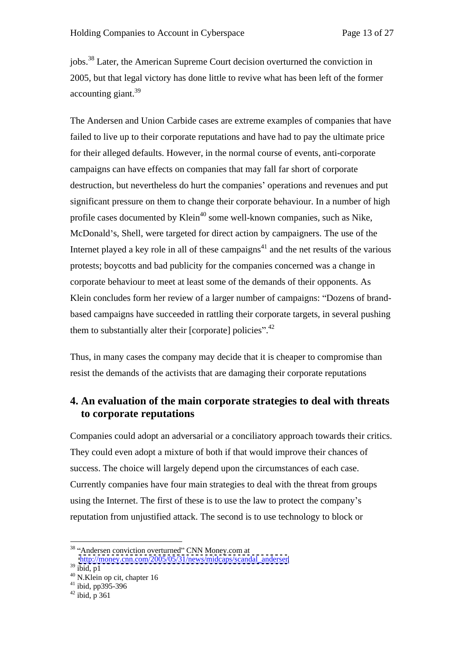jobs.38 Later, the American Supreme Court decision overturned the conviction in 2005, but that legal victory has done little to revive what has been left of the former accounting giant.<sup>39</sup>

The Andersen and Union Carbide cases are extreme examples of companies that have failed to live up to their corporate reputations and have had to pay the ultimate price for their alleged defaults. However, in the normal course of events, anti-corporate campaigns can have effects on companies that may fall far short of corporate destruction, but nevertheless do hurt the companies' operations and revenues and put significant pressure on them to change their corporate behaviour. In a number of high profile cases documented by  $Klein^{40}$  some well-known companies, such as Nike, McDonald's, Shell, were targeted for direct action by campaigners. The use of the Internet played a key role in all of these campaigns $41$  and the net results of the various protests; boycotts and bad publicity for the companies concerned was a change in corporate behaviour to meet at least some of the demands of their opponents. As Klein concludes form her review of a larger number of campaigns: "Dozens of brandbased campaigns have succeeded in rattling their corporate targets, in several pushing them to substantially alter their [corporate] policies". $42$ 

Thus, in many cases the company may decide that it is cheaper to compromise than resist the demands of the activists that are damaging their corporate reputations

# **4. An evaluation of the main corporate strategies to deal with threats to corporate reputations**

Companies could adopt an adversarial or a conciliatory approach towards their critics. They could even adopt a mixture of both if that would improve their chances of success. The choice will largely depend upon the circumstances of each case. Currently companies have four main strategies to deal with the threat from groups using the Internet. The first of these is to use the law to protect the company's reputation from unjustified attack. The second is to use technology to block or

 $38$  "Andersen conviction overturned" CNN Money.com at

[http://money.cnn.com/2005/05/31/news/midcaps/scandal\\_andersen](http://money.cnn.com/2005/05/31/news/midcaps/scandal_andersen) ibid. p1  $39$  ibid, p1

 $^{40}$  N.Klein op cit, chapter 16<br> $^{41}$  ibid, pp395-396

 $^{41}$  ibid, pp395-396

 $42$  ibid, p 361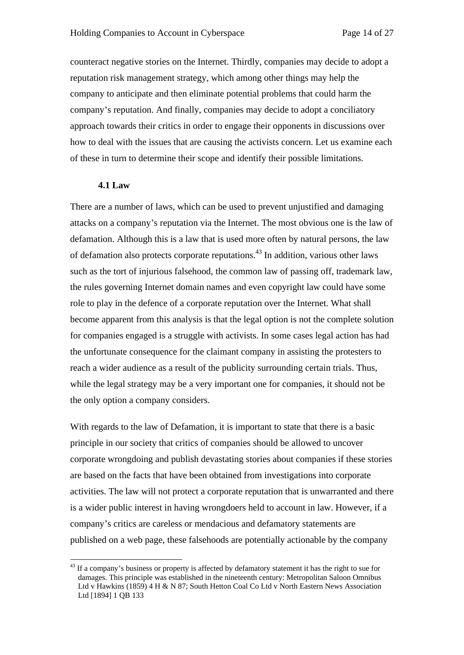counteract negative stories on the Internet. Thirdly, companies may decide to adopt a reputation risk management strategy, which among other things may help the company to anticipate and then eliminate potential problems that could harm the company s reputation. And finally, companies may decide to adopt a conciliatory approach towards their critics in order to engage their opponents in discussions over how to deal with the issues that are causing the activists concern. Let us examine each of these in turn to determine their scope and identify their possible limitations.

#### **4.1 Law**

There are a number of laws, which can be used to prevent unjustified and damaging attacks on a company's reputation via the Internet. The most obvious one is the law of defamation. Although this is a law that is used more often by natural persons, the law of defamation also protects corporate reputations.43 In addition, various other laws such as the tort of injurious falsehood, the common law of passing off, trademark law, the rules governing Internet domain names and even copyright law could have some role to play in the defence of a corporate reputation over the Internet. What shall become apparent from this analysis is that the legal option is not the complete solution for companies engaged is a struggle with activists. In some cases legal action has had the unfortunate consequence for the claimant company in assisting the protesters to reach a wider audience as a result of the publicity surrounding certain trials. Thus, while the legal strategy may be a very important one for companies, it should not be the only option a company considers.

With regards to the law of Defamation, it is important to state that there is a basic principle in our society that critics of companies should be allowed to uncover corporate wrongdoing and publish devastating stories about companies if these stories are based on the facts that have been obtained from investigations into corporate activities. The law will not protect a corporate reputation that is unwarranted and there is a wider public interest in having wrongdoers held to account in law. However, if a company s critics are careless or mendacious and defamatory statements are published on a web page, these falsehoods are potentially actionable by the company

<sup>&</sup>lt;sup>43</sup> If a company's business or property is affected by defamatory statement it has the right to sue for damages. This principle was established in the nineteenth century: Metropolitan Saloon Omnibus Ltd v Hawkins (1859) 4 H & N 87; South Hetton Coal Co Ltd v North Eastern News Association Ltd [1894] 1 QB 133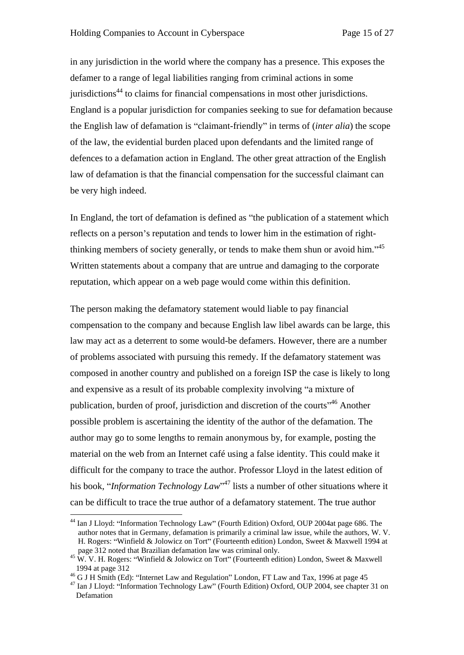in any jurisdiction in the world where the company has a presence. This exposes the defamer to a range of legal liabilities ranging from criminal actions in some jurisdictions<sup>44</sup> to claims for financial compensations in most other jurisdictions. England is a popular jurisdiction for companies seeking to sue for defamation because the English law of defamation is "claimant-friendly" in terms of *(inter alia)* the scope of the law, the evidential burden placed upon defendants and the limited range of defences to a defamation action in England. The other great attraction of the English law of defamation is that the financial compensation for the successful claimant can be very high indeed.

In England, the tort of defamation is defined as "the publication of a statement which reflects on a person's reputation and tends to lower him in the estimation of rightthinking members of society generally, or tends to make them shun or avoid him. $145$ Written statements about a company that are untrue and damaging to the corporate reputation, which appear on a web page would come within this definition.

The person making the defamatory statement would liable to pay financial compensation to the company and because English law libel awards can be large, this law may act as a deterrent to some would-be defamers. However, there are a number of problems associated with pursuing this remedy. If the defamatory statement was composed in another country and published on a foreign ISP the case is likely to long and expensive as a result of its probable complexity involving "a mixture of publication, burden of proof, jurisdiction and discretion of the courts<sup>346</sup> Another possible problem is ascertaining the identity of the author of the defamation. The author may go to some lengths to remain anonymous by, for example, posting the material on the web from an Internet café using a false identity. This could make it difficult for the company to trace the author. Professor Lloyd in the latest edition of his book, "*Information Technology Law*<sup>",47</sup> lists a number of other situations where it can be difficult to trace the true author of a defamatory statement. The true author

<sup>&</sup>lt;sup>44</sup> Ian J Lloyd: "Information Technology Law" (Fourth Edition) Oxford, OUP 2004at page 686. The author notes that in Germany, defamation is primarily a criminal law issue, while the authors, W. V. H. Rogers: "Winfield & Jolowicz on Tort" (Fourteenth edition) London, Sweet & Maxwell 1994 at

page 312 noted that Brazilian defamation law was criminal only.<br>
<sup>45</sup> W. V. H. Rogers: "Winfield & Jolowicz on Tort" (Fourteenth edition) London, Sweet & Maxwell<br>
1994 at page 312 1994 at page 312

 $^{46}$  G J H Smith (Ed): "Internet Law and Regulation" London, FT Law and Tax, 1996 at page 45

<sup>&</sup>lt;sup>47</sup> Ian J Lloyd: "Information Technology Law" (Fourth Edition) Oxford, OUP 2004, see chapter 31 on Defamation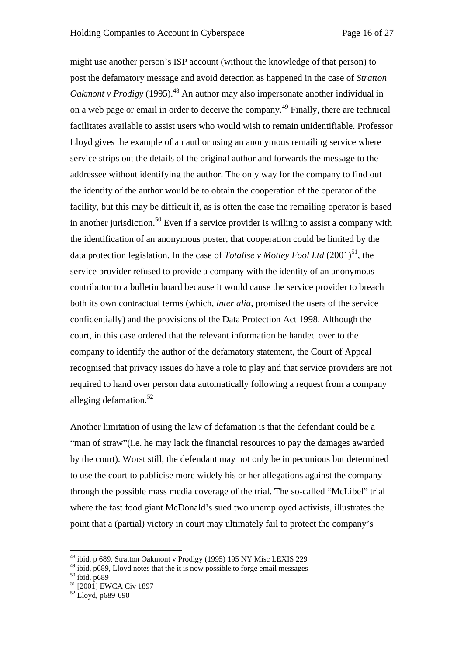might use another person's ISP account (without the knowledge of that person) to post the defamatory message and avoid detection as happened in the case of *Stratton Oakmont v Prodigy* (1995).<sup>48</sup> An author may also impersonate another individual in on a web page or email in order to deceive the company.49 Finally, there are technical facilitates available to assist users who would wish to remain unidentifiable. Professor Lloyd gives the example of an author using an anonymous remailing service where service strips out the details of the original author and forwards the message to the addressee without identifying the author. The only way for the company to find out the identity of the author would be to obtain the cooperation of the operator of the facility, but this may be difficult if, as is often the case the remailing operator is based in another jurisdiction.<sup>50</sup> Even if a service provider is willing to assist a company with the identification of an anonymous poster, that cooperation could be limited by the data protection legislation. In the case of *Totalise v Motley Fool Ltd*  $(2001)^{51}$ , the service provider refused to provide a company with the identity of an anonymous contributor to a bulletin board because it would cause the service provider to breach both its own contractual terms (which, *inter alia*, promised the users of the service confidentially) and the provisions of the Data Protection Act 1998. Although the court, in this case ordered that the relevant information be handed over to the company to identify the author of the defamatory statement, the Court of Appeal recognised that privacy issues do have a role to play and that service providers are not required to hand over person data automatically following a request from a company alleging defamation.<sup>52</sup>

Another limitation of using the law of defamation is that the defendant could be a "man of straw" (i.e. he may lack the financial resources to pay the damages awarded by the court). Worst still, the defendant may not only be impecunious but determined to use the court to publicise more widely his or her allegations against the company through the possible mass media coverage of the trial. The so-called "McLibel" trial where the fast food giant McDonald's sued two unemployed activists, illustrates the point that a (partial) victory in court may ultimately fail to protect the company's

 <sup>48</sup> ibid, p 689. Stratton Oakmont v Prodigy (1995) 195 NY Misc LEXIS 229

<sup>&</sup>lt;sup>49</sup> ibid, p689, Lloyd notes that the it is now possible to forge email messages <sup>50</sup> ibid, p689<br><sup>50</sup> [2001] EWCA Civ 1897

<sup>&</sup>lt;sup>51</sup> [2001] EWCA Civ 1897

<sup>52</sup> Lloyd, p689-690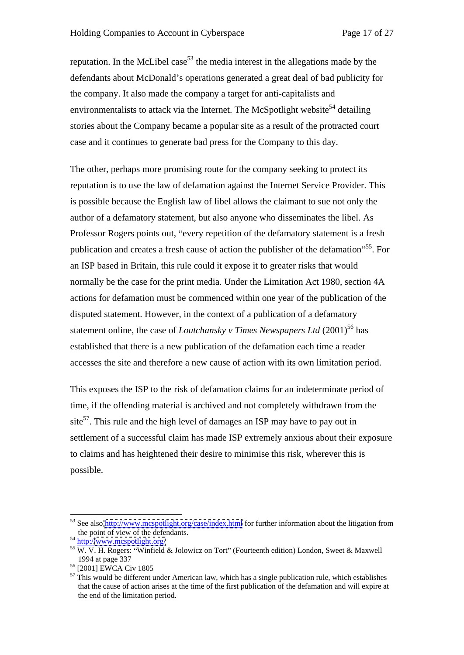reputation. In the McLibel case<sup>53</sup> the media interest in the allegations made by the defendants about McDonald's operations generated a great deal of bad publicity for the company. It also made the company a target for anti-capitalists and environmentalists to attack via the Internet. The McSpotlight website<sup>54</sup> detailing stories about the Company became a popular site as a result of the protracted court case and it continues to generate bad press for the Company to this day.

The other, perhaps more promising route for the company seeking to protect its reputation is to use the law of defamation against the Internet Service Provider. This is possible because the English law of libel allows the claimant to sue not only the author of a defamatory statement, but also anyone who disseminates the libel. As Professor Rogers points out, "every repetition of the defamatory statement is a fresh publication and creates a fresh cause of action the publisher of the defamation<sup>55</sup>. For 55. For an ISP based in Britain, this rule could it expose it to greater risks that would normally be the case for the print media. Under the Limitation Act 1980, section 4A actions for defamation must be commenced within one year of the publication of the disputed statement. However, in the context of a publication of a defamatory statement online, the case of *Loutchansky v Times Newspapers Ltd* (2001)<sup>56</sup> has established that there is a new publication of the defamation each time a reader accesses the site and therefore a new cause of action with its own limitation period.

This exposes the ISP to the risk of defamation claims for an indeterminate period of time, if the offending material is archived and not completely withdrawn from the site<sup>57</sup>. This rule and the high level of damages an ISP may have to pay out in settlement of a successful claim has made ISP extremely anxious about their exposure to claims and has heightened their desire to minimise this risk, wherever this is possible.

<sup>&</sup>lt;sup>53</sup> See also <u>http://www.mcspotlight.org/case/index.html</u> for further information about the litigation from the point of view of the defendants.<br><sup>54</sup> http://www.mcspotlight.org/

<sup>&</sup>lt;sup>54</sup> http:/[/www.mcspotlight.org/](http://www.mcspotlight.org/)<br><sup>54</sup> http://www.mcspotlight.org/<br><sup>55</sup> W. V. H. Rogers: "Winfield & Jolowicz on Tort" (Fourteenth edition) London, Sweet & Maxwell 1994 at page 337

<sup>56 [2001]</sup> EWCA Civ 1805

 $^{56}$  [2001] EWCA Civ 1805<br> $^{56}$  [2001] EWCA Civ 1805<br> $^{57}$  This would be different under American law, which has a single publication rule, which establishes that the cause of action arises at the time of the first publication of the defamation and will expire at the end of the limitation period.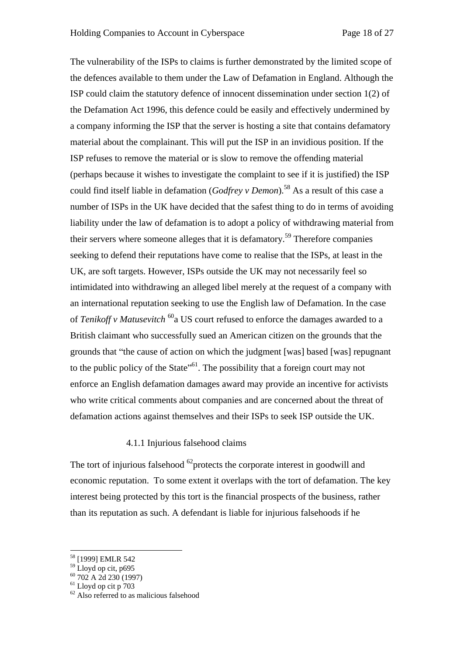The vulnerability of the ISPs to claims is further demonstrated by the limited scope of the defences available to them under the Law of Defamation in England. Although the ISP could claim the statutory defence of innocent dissemination under section 1(2) of the Defamation Act 1996, this defence could be easily and effectively undermined by a company informing the ISP that the server is hosting a site that contains defamatory material about the complainant. This will put the ISP in an invidious position. If the ISP refuses to remove the material or is slow to remove the offending material (perhaps because it wishes to investigate the complaint to see if it is justified) the ISP could find itself liable in defamation (*Godfrey v Demon*).58 As a result of this case a number of ISPs in the UK have decided that the safest thing to do in terms of avoiding liability under the law of defamation is to adopt a policy of withdrawing material from their servers where someone alleges that it is defamatory.<sup>59</sup> Therefore companies seeking to defend their reputations have come to realise that the ISPs, at least in the UK, are soft targets. However, ISPs outside the UK may not necessarily feel so intimidated into withdrawing an alleged libel merely at the request of a company with an international reputation seeking to use the English law of Defamation. In the case of *Tenikoff v Matusevitch* 60a US court refused to enforce the damages awarded to a British claimant who successfully sued an American citizen on the grounds that the grounds that "the cause of action on which the judgment [was] based [was] repugnant to the public policy of the State<sup> $,61$ </sup>. The possibility that a foreign court may not enforce an English defamation damages award may provide an incentive for activists who write critical comments about companies and are concerned about the threat of defamation actions against themselves and their ISPs to seek ISP outside the UK.

## 4.1.1 Injurious falsehood claims

The tort of injurious falsehood  $^{62}$  protects the corporate interest in goodwill and economic reputation. To some extent it overlaps with the tort of defamation. The key interest being protected by this tort is the financial prospects of the business, rather than its reputation as such. A defendant is liable for injurious falsehoods if he

 <sup>58 [1999]</sup> EMLR 542

 $59$  Lloyd op cit, p695

 $^{60}$  702 A 2d 230 (1997)<br><sup>61</sup> Lloyd op cit p 703

 $62$  Also referred to as malicious falsehood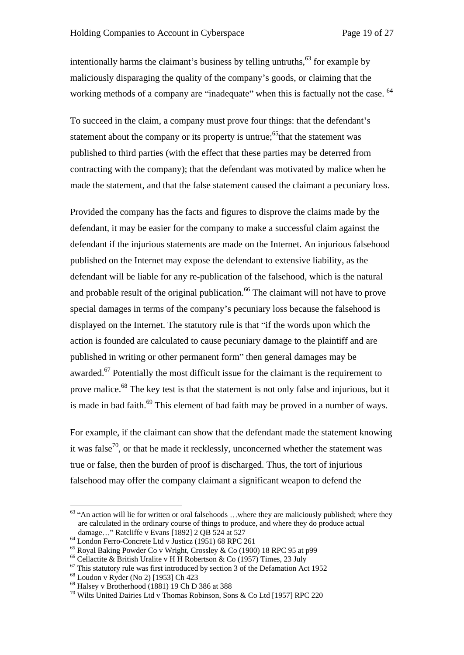intentionally harms the claimant's business by telling untruths, $63$  for example by maliciously disparaging the quality of the company's goods, or claiming that the working methods of a company are "inadequate" when this is factually not the case. <sup>64</sup>

To succeed in the claim, a company must prove four things: that the defendant's statement about the company or its property is untrue; $65$  that the statement was published to third parties (with the effect that these parties may be deterred from contracting with the company); that the defendant was motivated by malice when he made the statement, and that the false statement caused the claimant a pecuniary loss.

Provided the company has the facts and figures to disprove the claims made by the defendant, it may be easier for the company to make a successful claim against the defendant if the injurious statements are made on the Internet. An injurious falsehood published on the Internet may expose the defendant to extensive liability, as the defendant will be liable for any re-publication of the falsehood, which is the natural and probable result of the original publication.<sup>66</sup> The claimant will not have to prove special damages in terms of the company's pecuniary loss because the falsehood is displayed on the Internet. The statutory rule is that "if the words upon which the action is founded are calculated to cause pecuniary damage to the plaintiff and are published in writing or other permanent form" then general damages may be awarded.<sup>67</sup> Potentially the most difficult issue for the claimant is the requirement to prove malice.<sup>68</sup> The key test is that the statement is not only false and injurious, but it is made in bad faith.<sup>69</sup> This element of bad faith may be proved in a number of ways.

For example, if the claimant can show that the defendant made the statement knowing it was false<sup>70</sup>, or that he made it recklessly, unconcerned whether the statement was true or false, then the burden of proof is discharged. Thus, the tort of injurious falsehood may offer the company claimant a significant weapon to defend the

 $63$  "An action will lie for written or oral falsehoods ...where they are maliciously published; where they are calculated in the ordinary course of things to produce, and where they do produce actual

damage..." Ratcliffe v Evans [1892] 2 QB 524 at 527  $^{64}$  London Ferro-Concrete Ltd v Justicz (1951) 68 RPC 261

<sup>65</sup> Royal Baking Powder Co v Wright, Crossley & Co (1900) 18 RPC 95 at p99

<sup>66</sup> Cellactite & British Uralite v H H Robertson & Co (1957) Times, 23 July

<sup>&</sup>lt;sup>67</sup> This statutory rule was first introduced by section 3 of the Defamation Act 1952<sup>68</sup> Loudon v Ryder (No 2) [1953] Ch 423

 $^{68}$  Loudon v Ryder (No 2) [1953] Ch 423<br> $^{69}$  Halsey v Brotherhood (1881) 19 Ch D 386 at 388

 $70$  Wilts United Dairies Ltd v Thomas Robinson, Sons & Co Ltd [1957] RPC 220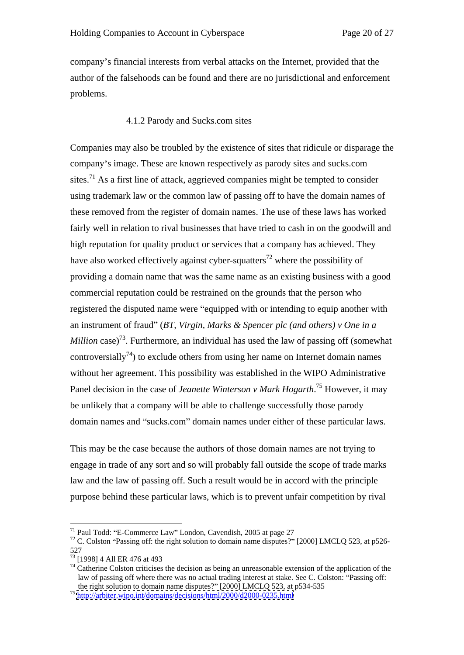company's financial interests from verbal attacks on the Internet, provided that the author of the falsehoods can be found and there are no jurisdictional and enforcement problems.

4.1.2 Parody and Sucks.com sites

Companies may also be troubled by the existence of sites that ridicule or disparage the company s image. These are known respectively as parody sites and sucks.com sites.<sup>71</sup> As a first line of attack, aggrieved companies might be tempted to consider using trademark law or the common law of passing off to have the domain names of these removed from the register of domain names. The use of these laws has worked fairly well in relation to rival businesses that have tried to cash in on the goodwill and high reputation for quality product or services that a company has achieved. They have also worked effectively against cyber-squatters<sup>72</sup> where the possibility of providing a domain name that was the same name as an existing business with a good commercial reputation could be restrained on the grounds that the person who registered the disputed name were "equipped with or intending to equip another with an instrument of fraud" (BT, Virgin, Marks & Spencer plc (and others) v One in a *Million* case)<sup>73</sup>. Furthermore, an individual has used the law of passing off (somewhat controversially<sup>74</sup>) to exclude others from using her name on Internet domain names without her agreement. This possibility was established in the WIPO Administrative Panel decision in the case of *Jeanette Winterson v Mark Hogarth*.75 However, it may be unlikely that a company will be able to challenge successfully those parody domain names and "sucks.com" domain names under either of these particular laws.

This may be the case because the authors of those domain names are not trying to engage in trade of any sort and so will probably fall outside the scope of trade marks law and the law of passing off. Such a result would be in accord with the principle purpose behind these particular laws, which is to prevent unfair competition by rival

<sup>&</sup>lt;sup>71</sup> Paul Todd: "E-Commerce Law" London, Cavendish, 2005 at page 27

 $72$  C. Colston "Passing off: the right solution to domain name disputes?" [2000] LMCLQ 523, at p526-527

<sup>73 [1998] 4</sup> All ER 476 at 493

 $74$  Catherine Colston criticises the decision as being an unreasonable extension of the application of the law of passing off where there was no actual trading interest at stake. See C. Colston: "Passing off: the right solution to domain name disputes?" [2000] LMCLQ 523, at p534-535

 $^{75}$  <http://arbiter.wipo.int/domains/decisions/html/2000/d2000-0235.html>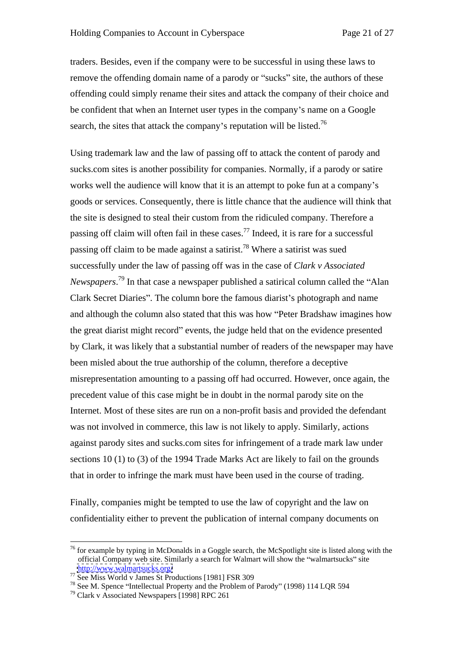traders. Besides, even if the company were to be successful in using these laws to remove the offending domain name of a parody or "sucks" site, the authors of these offending could simply rename their sites and attack the company of their choice and be confident that when an Internet user types in the company's name on a Google search, the sites that attack the company's reputation will be listed.<sup>76</sup>

Using trademark law and the law of passing off to attack the content of parody and sucks.com sites is another possibility for companies. Normally, if a parody or satire works well the audience will know that it is an attempt to poke fun at a company's goods or services. Consequently, there is little chance that the audience will think that the site is designed to steal their custom from the ridiculed company. Therefore a passing off claim will often fail in these cases.77 Indeed, it is rare for a successful passing off claim to be made against a satirist.<sup>78</sup> Where a satirist was sued successfully under the law of passing off was in the case of *Clark v Associated Newspapers*.<sup>79</sup> In that case a newspaper published a satirical column called the "Alan" Clark Secret Diaries". The column bore the famous diarist's photograph and name and although the column also stated that this was how "Peter Bradshaw imagines how the great diarist might record" events, the judge held that on the evidence presented by Clark, it was likely that a substantial number of readers of the newspaper may have been misled about the true authorship of the column, therefore a deceptive misrepresentation amounting to a passing off had occurred. However, once again, the precedent value of this case might be in doubt in the normal parody site on the Internet. Most of these sites are run on a non-profit basis and provided the defendant was not involved in commerce, this law is not likely to apply. Similarly, actions against parody sites and sucks.com sites for infringement of a trade mark law under sections 10 (1) to (3) of the 1994 Trade Marks Act are likely to fail on the grounds that in order to infringe the mark must have been used in the course of trading.

Finally, companies might be tempted to use the law of copyright and the law on confidentiality either to prevent the publication of internal company documents on

 $76$  for example by typing in McDonalds in a Goggle search, the McSpotlight site is listed along with the official Company web site. Similarly a search for Walmart will show the "walmartsucks" site http://www.walmartsucks.org/

 $\frac{m_{11}}{27}$  See Miss World v James St Productions [1981] FSR 309

 $78$  See M. Spence "Intellectual Property and the Problem of Parody" (1998) 114 LQR 594

<sup>79</sup> Clark v Associated Newspapers [1998] RPC 261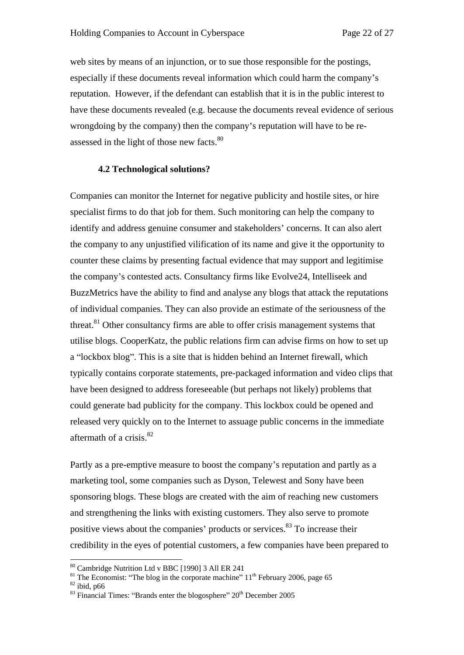web sites by means of an injunction, or to sue those responsible for the postings, especially if these documents reveal information which could harm the company's reputation. However, if the defendant can establish that it is in the public interest to have these documents revealed (e.g. because the documents reveal evidence of serious wrongdoing by the company) then the company's reputation will have to be reassessed in the light of those new facts.<sup>80</sup>

#### **4.2 Technological solutions?**

Companies can monitor the Internet for negative publicity and hostile sites, or hire specialist firms to do that job for them. Such monitoring can help the company to identify and address genuine consumer and stakeholders' concerns. It can also alert the company to any unjustified vilification of its name and give it the opportunity to counter these claims by presenting factual evidence that may support and legitimise the company's contested acts. Consultancy firms like Evolve24, Intelliseek and BuzzMetrics have the ability to find and analyse any blogs that attack the reputations of individual companies. They can also provide an estimate of the seriousness of the threat.<sup>81</sup> Other consultancy firms are able to offer crisis management systems that utilise blogs. CooperKatz, the public relations firm can advise firms on how to set up a "lockbox blog". This is a site that is hidden behind an Internet firewall, which typically contains corporate statements, pre-packaged information and video clips that have been designed to address foreseeable (but perhaps not likely) problems that could generate bad publicity for the company. This lockbox could be opened and released very quickly on to the Internet to assuage public concerns in the immediate aftermath of a crisis. $^{82}$ 

Partly as a pre-emptive measure to boost the company's reputation and partly as a marketing tool, some companies such as Dyson, Telewest and Sony have been sponsoring blogs. These blogs are created with the aim of reaching new customers and strengthening the links with existing customers. They also serve to promote positive views about the companies' products or services.<sup>83</sup> To increase their credibility in the eyes of potential customers, a few companies have been prepared to

<sup>80</sup> Cambridge Nutrition Ltd v BBC [1990] 3 All ER 241

<sup>&</sup>lt;sup>81</sup> The Economist: "The blog in the corporate machine"  $11^{th}$  February 2006, page 65<sup>82</sup> ibid. p66  $th$  February 2006, page 65

 $82$  ibid, p66

 $83$  Financial Times: "Brands enter the blogosphere"  $20<sup>th</sup>$  December 2005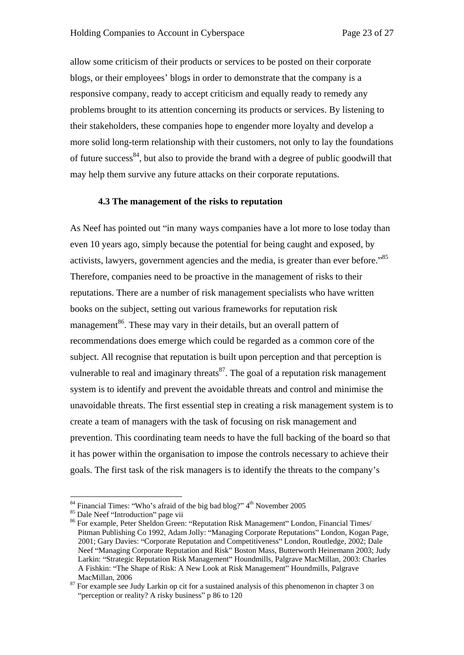allow some criticism of their products or services to be posted on their corporate blogs, or their employees' blogs in order to demonstrate that the company is a responsive company, ready to accept criticism and equally ready to remedy any problems brought to its attention concerning its products or services. By listening to their stakeholders, these companies hope to engender more loyalty and develop a more solid long-term relationship with their customers, not only to lay the foundations of future success<sup>84</sup>, but also to provide the brand with a degree of public goodwill that may help them survive any future attacks on their corporate reputations.

#### **4.3 The management of the risks to reputation**

As Neef has pointed out "in many ways companies have a lot more to lose today than even 10 years ago, simply because the potential for being caught and exposed, by activists, lawyers, government agencies and the media, is greater than ever before."<sup>85</sup> Therefore, companies need to be proactive in the management of risks to their reputations. There are a number of risk management specialists who have written books on the subject, setting out various frameworks for reputation risk management<sup>86</sup>. These may vary in their details, but an overall pattern of recommendations does emerge which could be regarded as a common core of the subject. All recognise that reputation is built upon perception and that perception is vulnerable to real and imaginary threats $^{87}$ . The goal of a reputation risk management system is to identify and prevent the avoidable threats and control and minimise the unavoidable threats. The first essential step in creating a risk management system is to create a team of managers with the task of focusing on risk management and prevention. This coordinating team needs to have the full backing of the board so that it has power within the organisation to impose the controls necessary to achieve their goals. The first task of the risk managers is to identify the threats to the company's

<sup>&</sup>lt;sup>84</sup> Financial Times: "Who's afraid of the big bad blog?"  $4<sup>th</sup>$  November 2005 <sup>85</sup> Dale Neef "Introduction" page vii  $th$  November 2005

<sup>&</sup>lt;sup>86</sup> For example, Peter Sheldon Green: "Reputation Risk Management" London, Financial Times/ Pitman Publishing Co 1992, Adam Jolly: "Managing Corporate Reputations" London, Kogan Page, 2001; Gary Davies: "Corporate Reputation and Competitiveness" London, Routledge, 2002; Dale Neef "Managing Corporate Reputation and Risk" Boston Mass, Butterworth Heinemann 2003; Judy Larkin: "Strategic Reputation Risk Management" Houndmills, Palgrave MacMillan, 2003: Charles A Fishkin: "The Shape of Risk: A New Look at Risk Management" Houndmills, Palgrave MacMillan, 2006

<sup>&</sup>lt;sup>87</sup> For example see Judy Larkin op cit for a sustained analysis of this phenomenon in chapter 3 on "perception or reality? A risky business"  $p$  86 to 120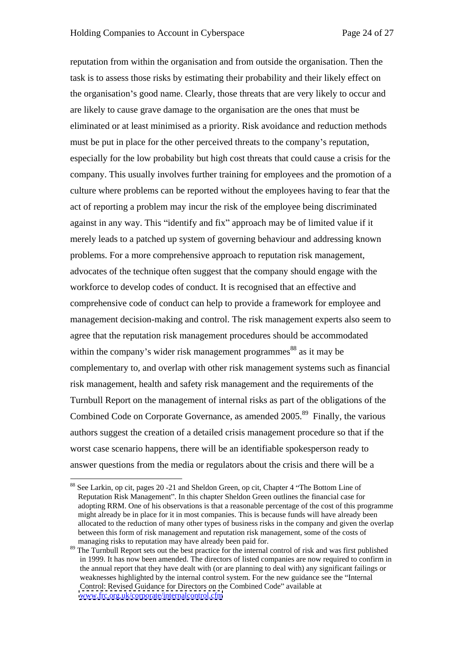reputation from within the organisation and from outside the organisation. Then the task is to assess those risks by estimating their probability and their likely effect on the organisation's good name. Clearly, those threats that are very likely to occur and are likely to cause grave damage to the organisation are the ones that must be eliminated or at least minimised as a priority. Risk avoidance and reduction methods must be put in place for the other perceived threats to the company's reputation, especially for the low probability but high cost threats that could cause a crisis for the company. This usually involves further training for employees and the promotion of a culture where problems can be reported without the employees having to fear that the act of reporting a problem may incur the risk of the employee being discriminated against in any way. This "identify and fix" approach may be of limited value if it merely leads to a patched up system of governing behaviour and addressing known problems. For a more comprehensive approach to reputation risk management, advocates of the technique often suggest that the company should engage with the workforce to develop codes of conduct. It is recognised that an effective and comprehensive code of conduct can help to provide a framework for employee and management decision-making and control. The risk management experts also seem to agree that the reputation risk management procedures should be accommodated within the company's wider risk management programmes<sup>88</sup> as it may be complementary to, and overlap with other risk management systems such as financial risk management, health and safety risk management and the requirements of the Turnbull Report on the management of internal risks as part of the obligations of the Combined Code on Corporate Governance, as amended 2005.<sup>89</sup> Finally, the various authors suggest the creation of a detailed crisis management procedure so that if the worst case scenario happens, there will be an identifiable spokesperson ready to answer questions from the media or regulators about the crisis and there will be a

<sup>&</sup>lt;sup>88</sup> See Larkin, op cit, pages 20 -21 and Sheldon Green, op cit, Chapter 4 "The Bottom Line of Reputation Risk Management". In this chapter Sheldon Green outlines the financial case for adopting RRM. One of his observations is that a reasonable percentage of the cost of this programme might already be in place for it in most companies. This is because funds will have already been allocated to the reduction of many other types of business risks in the company and given the overlap between this form of risk management and reputation risk management, some of the costs of managing risks to reputation may have already been paid for.

The Turnbull Report sets out the best practice for the internal control of risk and was first published in 1999. It has now been amended. The directors of listed companies are now required to confirm in the annual report that they have dealt with (or are planning to deal with) any significant failings or weaknesses highlighted by the internal control system. For the new guidance see the "Internal Control: Revised Guidance for Directors on the Combined Code" available at [www.frc.org.uk/corporate/internalcontrol.cfm](http://www.frc.org.uk/corporate/internalcontrol.cfm)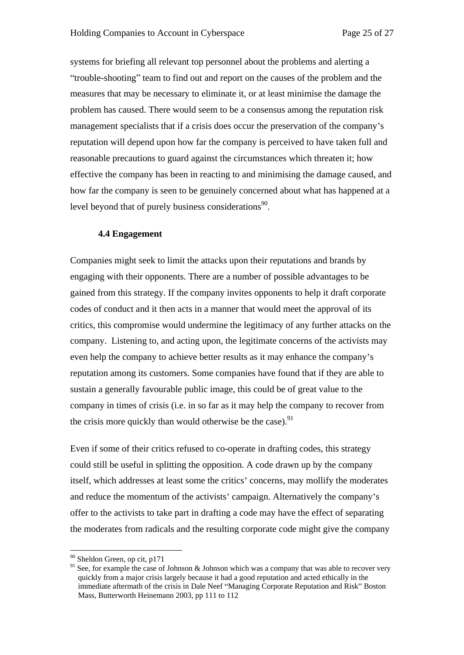systems for briefing all relevant top personnel about the problems and alerting a "trouble-shooting" team to find out and report on the causes of the problem and the measures that may be necessary to eliminate it, or at least minimise the damage the problem has caused. There would seem to be a consensus among the reputation risk management specialists that if a crisis does occur the preservation of the company's reputation will depend upon how far the company is perceived to have taken full and reasonable precautions to guard against the circumstances which threaten it; how effective the company has been in reacting to and minimising the damage caused, and how far the company is seen to be genuinely concerned about what has happened at a level beyond that of purely business considerations<sup>90</sup>. . A construction of the construction of the construction of the construction of the construction of the construction of the construction of the construction of the construction of the construction of the construction of th

#### **4.4 Engagement**

Companies might seek to limit the attacks upon their reputations and brands by engaging with their opponents. There are a number of possible advantages to be gained from this strategy. If the company invites opponents to help it draft corporate codes of conduct and it then acts in a manner that would meet the approval of its critics, this compromise would undermine the legitimacy of any further attacks on the company. Listening to, and acting upon, the legitimate concerns of the activists may even help the company to achieve better results as it may enhance the company's reputation among its customers. Some companies have found that if they are able to sustain a generally favourable public image, this could be of great value to the company in times of crisis (i.e. in so far as it may help the company to recover from the crisis more quickly than would otherwise be the case). $91$ 

Even if some of their critics refused to co-operate in drafting codes, this strategy could still be useful in splitting the opposition. A code drawn up by the company itself, which addresses at least some the critics' concerns, may mollify the moderates and reduce the momentum of the activists' campaign. Alternatively the company's offer to the activists to take part in drafting a code may have the effect of separating the moderates from radicals and the resulting corporate code might give the company

 <sup>90</sup> Sheldon Green, op cit, p171

<sup>&</sup>lt;sup>91</sup> See, for example the case of Johnson & Johnson which was a company that was able to recover very quickly from a major crisis largely because it had a good reputation and acted ethically in the immediate aftermath of the crisis in Dale Neef "Managing Corporate Reputation and Risk" Boston Mass, Butterworth Heinemann 2003, pp 111 to 112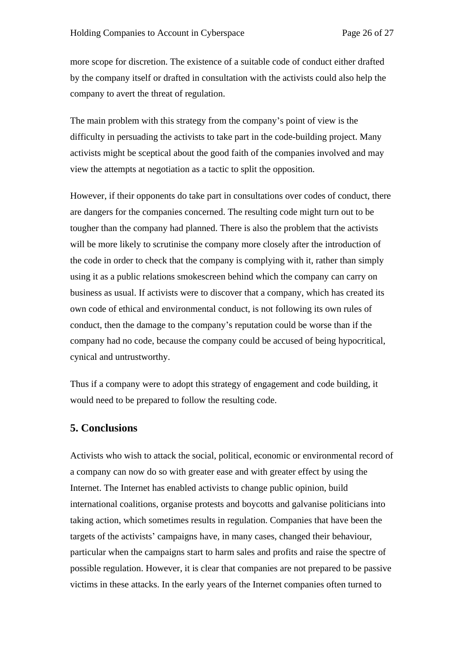more scope for discretion. The existence of a suitable code of conduct either drafted by the company itself or drafted in consultation with the activists could also help the company to avert the threat of regulation.

The main problem with this strategy from the company's point of view is the difficulty in persuading the activists to take part in the code-building project. Many activists might be sceptical about the good faith of the companies involved and may view the attempts at negotiation as a tactic to split the opposition.

However, if their opponents do take part in consultations over codes of conduct, there are dangers for the companies concerned. The resulting code might turn out to be tougher than the company had planned. There is also the problem that the activists will be more likely to scrutinise the company more closely after the introduction of the code in order to check that the company is complying with it, rather than simply using it as a public relations smokescreen behind which the company can carry on business as usual. If activists were to discover that a company, which has created its own code of ethical and environmental conduct, is not following its own rules of conduct, then the damage to the company's reputation could be worse than if the company had no code, because the company could be accused of being hypocritical, cynical and untrustworthy.

Thus if a company were to adopt this strategy of engagement and code building, it would need to be prepared to follow the resulting code.

## **5. Conclusions**

Activists who wish to attack the social, political, economic or environmental record of a company can now do so with greater ease and with greater effect by using the Internet. The Internet has enabled activists to change public opinion, build international coalitions, organise protests and boycotts and galvanise politicians into taking action, which sometimes results in regulation. Companies that have been the targets of the activists' campaigns have, in many cases, changed their behaviour, particular when the campaigns start to harm sales and profits and raise the spectre of possible regulation. However, it is clear that companies are not prepared to be passive victims in these attacks. In the early years of the Internet companies often turned to